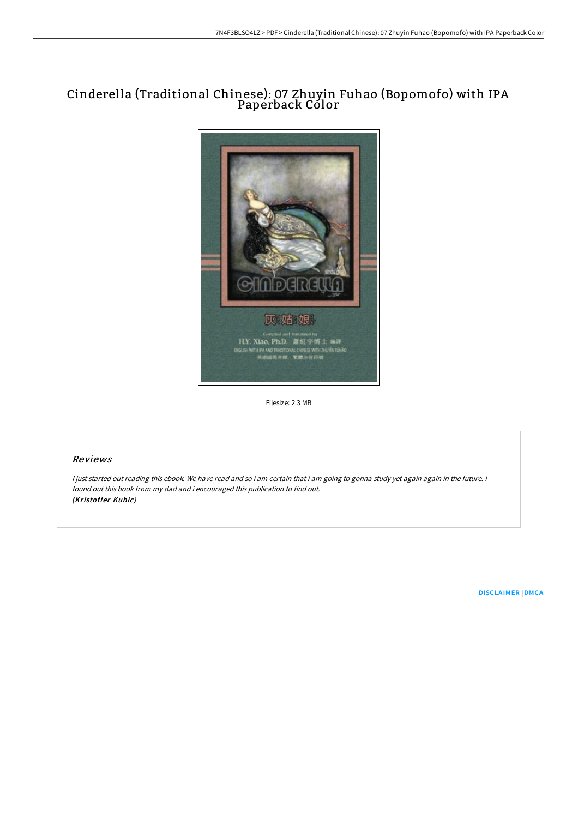# Cinderella (Traditional Chinese): 07 Zhuyin Fuhao (Bopomofo) with IPA Paperback Color



Filesize: 2.3 MB

## Reviews

I just started out reading this ebook. We have read and so i am certain that i am going to gonna study yet again again in the future. I found out this book from my dad and i encouraged this publication to find out. (Kristoffer Kuhic)

[DISCLAIMER](http://albedo.media/disclaimer.html) | [DMCA](http://albedo.media/dmca.html)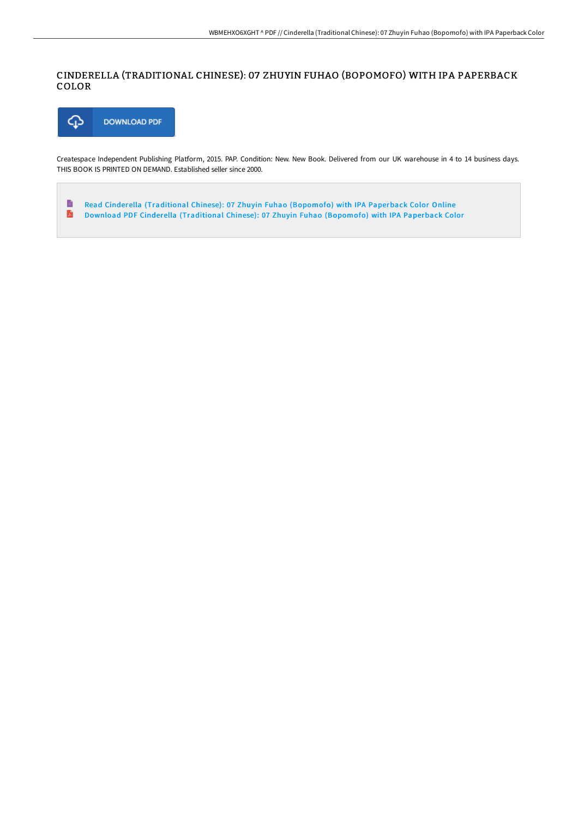## CINDERELLA (TRADITIONAL CHINESE): 07 ZHUYIN FUHAO (BOPOMOFO) WITH IPA PAPERBACK COLOR



Createspace Independent Publishing Platform, 2015. PAP. Condition: New. New Book. Delivered from our UK warehouse in 4 to 14 business days. THIS BOOK IS PRINTED ON DEMAND. Established seller since 2000.

 $\qquad \qquad \blacksquare$ Read Cinderella [\(Traditional](http://albedo.media/cinderella-traditional-chinese-07-zhuyin-fuhao-b.html) Chinese): 07 Zhuyin Fuhao (Bopomofo) with IPA Paperback Color Online  $\mathbf{r}$ Download PDF Cinderella [\(Traditional](http://albedo.media/cinderella-traditional-chinese-07-zhuyin-fuhao-b.html) Chinese): 07 Zhuyin Fuhao (Bopomofo) with IPA Paperback Color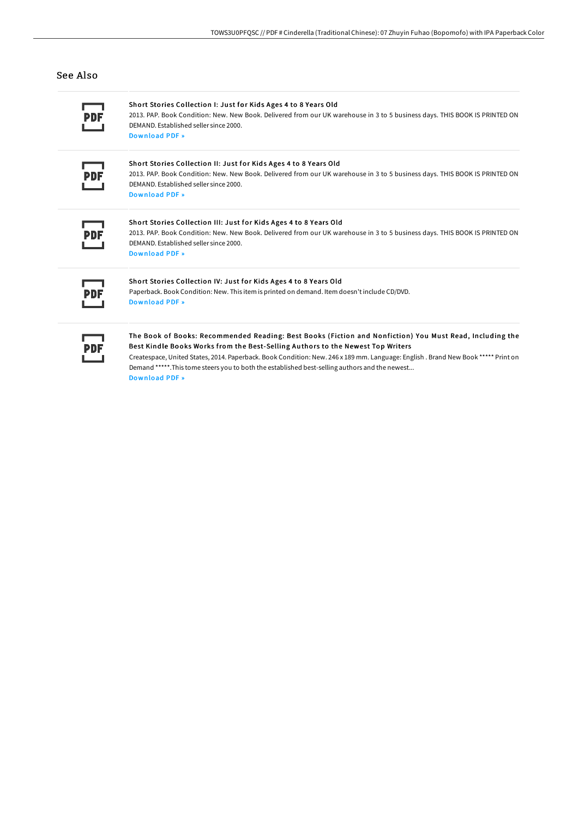### See Also

Short Stories Collection I: Just for Kids Ages 4 to 8 Years Old 2013. PAP. Book Condition: New. New Book. Delivered from our UK warehouse in 3 to 5 business days. THIS BOOK IS PRINTED ON DEMAND. Established seller since 2000. [Download](http://albedo.media/short-stories-collection-i-just-for-kids-ages-4-.html) PDF »

#### Short Stories Collection II: Just for Kids Ages 4 to 8 Years Old

2013. PAP. Book Condition: New. New Book. Delivered from our UK warehouse in 3 to 5 business days. THIS BOOK IS PRINTED ON DEMAND. Established seller since 2000. [Download](http://albedo.media/short-stories-collection-ii-just-for-kids-ages-4.html) PDF »

#### Short Stories Collection III: Just for Kids Ages 4 to 8 Years Old 2013. PAP. Book Condition: New. New Book. Delivered from our UK warehouse in 3 to 5 business days. THIS BOOK IS PRINTED ON DEMAND. Established seller since 2000. [Download](http://albedo.media/short-stories-collection-iii-just-for-kids-ages-.html) PDF »

#### Short Stories Collection IV: Just for Kids Ages 4 to 8 Years Old

Paperback. Book Condition: New. This item is printed on demand. Item doesn't include CD/DVD. [Download](http://albedo.media/short-stories-collection-iv-just-for-kids-ages-4.html) PDF »

### The Book of Books: Recommended Reading: Best Books (Fiction and Nonfiction) You Must Read, Including the Best Kindle Books Works from the Best-Selling Authors to the Newest Top Writers

Createspace, United States, 2014. Paperback. Book Condition: New. 246 x 189 mm. Language: English . Brand New Book \*\*\*\*\* Print on Demand \*\*\*\*\*.This tome steers you to both the established best-selling authors and the newest... [Download](http://albedo.media/the-book-of-books-recommended-reading-best-books.html) PDF »